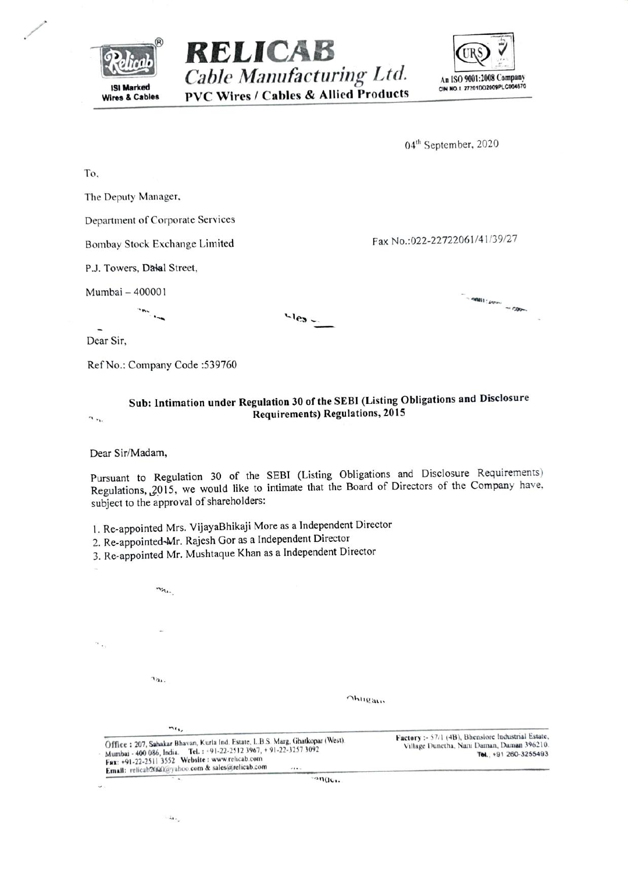| <b>ISI Marked</b><br><b>Wires &amp; Cables</b> | RELICAB | Cable Manufacturing Ltd.<br><b>PVC Wires / Cables &amp; Allied Products</b> | An ISO 9001:2008 Company<br>CIN NO.1 27201002009PLC004670 |
|------------------------------------------------|---------|-----------------------------------------------------------------------------|-----------------------------------------------------------|
|                                                |         |                                                                             | 04 <sup>th</sup> September, 2020                          |
| To.                                            |         |                                                                             |                                                           |
| The Deputy Manager,                            |         |                                                                             |                                                           |
| Department of Corporate Services               |         |                                                                             |                                                           |
| Bombay Stock Exchange Limited                  |         |                                                                             | Fax No.:022-22722061/41/39/27                             |
| P.J. Towers, Dalal Street,                     |         |                                                                             |                                                           |
| Mumbai - 400001<br>$n_{\rm N}$                 |         | $\mathcal{L}$ les $\mathcal{L}$                                             | $=$ and $\frac{1}{2}$ and $\frac{1}{2}$                   |

Dear Sir,

Ref No.: Company Code : 539760

## Sub: Intimation under Regulation 30 of the SEBI (Listing Obligations and Disclosure **Requirements) Regulations, 2015**

 $\gamma_{\rm (Fe)}$ 

 $\sim$  .

Ü,

Dear Sir/Madam,

Pursuant to Regulation 30 of the SEBI (Listing Obligations and Disclosure Requirements) Regulations, 2015, we would like to intimate that the Board of Directors of the Company have, subject to the approval of shareholders:

1. Re-appointed Mrs. VijayaBhikaji More as a Independent Director

2. Re-appointed-Mr. Rajesh Gor as a Independent Director

3. Re-appointed Mr. Mushtaque Khan as a Independent Director

 $\mathcal{A}_{\mathcal{A}_{1},\mathcal{A}_{2}}$ 

 $\tau_{21}$ 

**Ohligan** 

| $n_{i}$                                                                                                                                                                                                                                                            |                                                                                                                           |
|--------------------------------------------------------------------------------------------------------------------------------------------------------------------------------------------------------------------------------------------------------------------|---------------------------------------------------------------------------------------------------------------------------|
| Office: 207, Sahakar Bhavan, Kurla Ind. Estate, L.B.S. Marg, Ghatkopar (West).<br>Mumbai - 400 086, India. Tel.: +91-22-2512 3967, +91-22-3257 3092<br>Fax: +91-22-2511 3552 Website: www.relicab.com<br>Email: relicab2000k@yahoo.com & sales@relicab.com<br>111. | Factory :- 57/1 (4B), Bhenslore Industrial Estate,<br>Village Dunctha, Nani Daman, Daman 396210.<br>Tel., +91 260-3255493 |
| $n_{\text{QCD}}$                                                                                                                                                                                                                                                   |                                                                                                                           |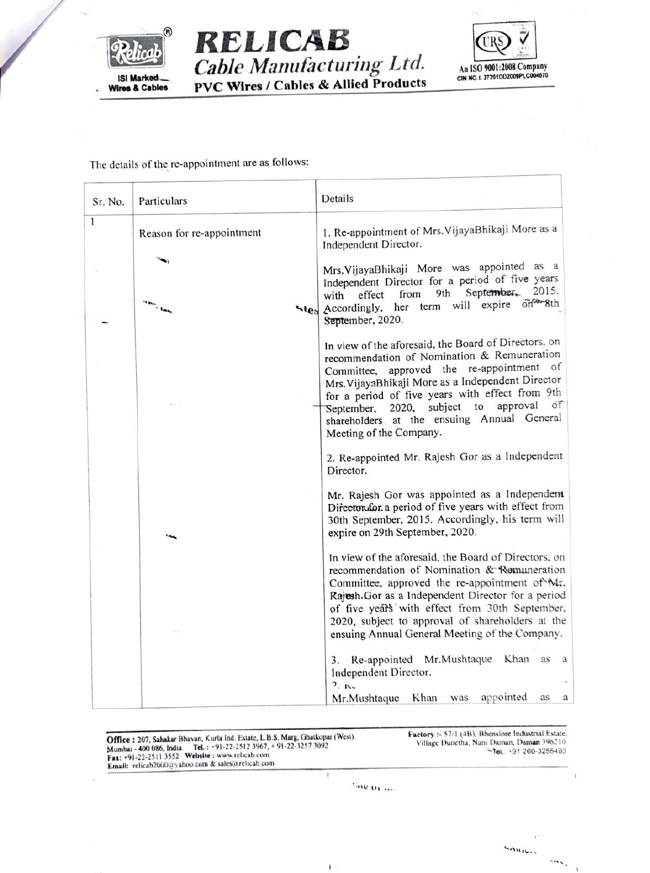





The details of the re-appointment are as follows:

| Sr. No. | Particulars               | Details                                                                                                                                                                                                                                                                                                                                                           |
|---------|---------------------------|-------------------------------------------------------------------------------------------------------------------------------------------------------------------------------------------------------------------------------------------------------------------------------------------------------------------------------------------------------------------|
| 1       | Reason for re-appointment | 1. Re-appointment of Mrs. VijayaBhikaji More as a<br>Independent Director.                                                                                                                                                                                                                                                                                        |
|         |                           |                                                                                                                                                                                                                                                                                                                                                                   |
|         | $\overline{\phantom{a}}$  | Mrs. VijayaBhikaji More was appointed as a<br>Independent Director for a period of five years<br>September, 2015.<br>9th<br>from<br>effect<br>with<br>her term will expire on <sup>com-</sup> 8th<br>sles Accordingly,<br>September, 2020.                                                                                                                        |
|         |                           | In view of the aforesaid, the Board of Directors, on<br>recommendation of Nomination & Remuneration<br>Committee, approved the re-appointment of<br>Mrs. VijayaBhikaji More as a Independent Director                                                                                                                                                             |
|         |                           | for a period of five years with effect from 9th<br>approval<br>of<br>September, 2020, subject to<br>shareholders at the ensuing Annual General<br>Meeting of the Company.                                                                                                                                                                                         |
|         |                           | 2. Re-appointed Mr. Rajesh Gor as a Independent<br>Director.                                                                                                                                                                                                                                                                                                      |
|         |                           | Mr. Rajesh Gor was appointed as a Independent<br>Directorufor a period of five years with effect from<br>30th September, 2015. Accordingly, his term will<br>expire on 29th September, 2020.                                                                                                                                                                      |
|         |                           | In view of the aforesaid, the Board of Directors, on<br>recommendation of Nomination & Remuneration<br>Committee, approved the re-appointment of Mr.<br>Rajesh.Gor as a Independent Director for a period<br>of five years with effect from 30th September,<br>2020, subject to approval of shareholders at the<br>ensuing Annual General Meeting of the Company. |
|         |                           | Re-appointed Mr.Mushtaque Khan as<br>3.<br>a<br>Independent Director.<br>2.5<br>appointed<br>Khan was<br>Mr.Mushtaque<br>as<br>a                                                                                                                                                                                                                                  |

Factory :- 57/1 (4B), Bhenslore Industrial Estate,<br>Village Dunetha, Nani Daman, Daman 396210. **Office : 207, Sahakar Bhavan, Kurla Ind. Estate, L.B.S. Marg, Ghatkopar (West).**<br>
Mumbai - 400 086, India. Tel. : +91-22-2512 3967, +91-22-3257 3092<br>
Fax: +91-22-2511 3552 Website : www.relicab.com<br>
Email: relicab2000@yah Tal, +91 260-3255493 Ţ

 $\mathbf{I}$ 

YAW OL.

 $m_{\lambda}$ 

 $\mathbf{1}$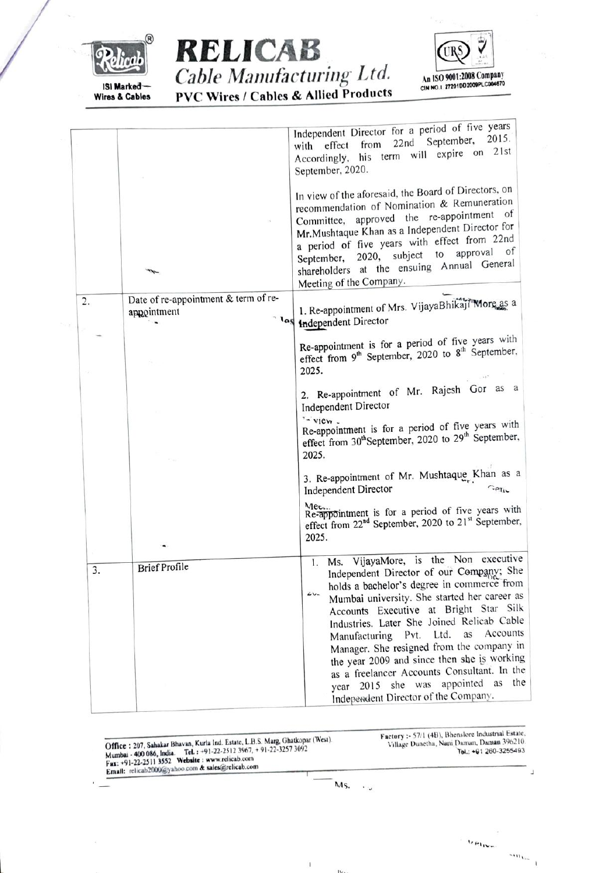





|    |                                                     | Independent Director for a period of five years<br>September, 2015.<br>22nd<br>from<br>with effect<br>Accordingly, his term will expire on 21st<br>September, 2020.                                                                                                                                                                                                                                                                                                                                                                                             |
|----|-----------------------------------------------------|-----------------------------------------------------------------------------------------------------------------------------------------------------------------------------------------------------------------------------------------------------------------------------------------------------------------------------------------------------------------------------------------------------------------------------------------------------------------------------------------------------------------------------------------------------------------|
|    |                                                     | In view of the aforesaid, the Board of Directors, on<br>recommendation of Nomination & Remuneration<br>Committee, approved the re-appointment of<br>Mr.Mushtaque Khan as a Independent Director for<br>a period of five years with effect from 22nd<br>September, 2020, subject to approval of<br>shareholders at the ensuing Annual General<br>Meeting of the Company.                                                                                                                                                                                         |
|    | Date of re-appointment & term of re-<br>appointment | 1. Re-appointment of Mrs. VijayaBhikaji More as a<br><sup>1</sup> <sup>4</sup> Independent Director                                                                                                                                                                                                                                                                                                                                                                                                                                                             |
|    |                                                     | Re-appointment is for a period of five years with<br>effect from 9 <sup>th</sup> September, 2020 to 8 <sup>th</sup> September,<br>2025.                                                                                                                                                                                                                                                                                                                                                                                                                         |
|    |                                                     | 2. Re-appointment of Mr. Rajesh Gor as a<br>Independent Director<br>$\sim$ view $\sim$                                                                                                                                                                                                                                                                                                                                                                                                                                                                          |
|    |                                                     | Re-appointment is for a period of five years with<br>effect from 30 <sup>th</sup> September, 2020 to 29 <sup>th</sup> September,<br>2025.                                                                                                                                                                                                                                                                                                                                                                                                                       |
|    |                                                     | 3. Re-appointment of Mr. Mushtaque Khan as a<br><b>Independent Director</b><br>$C$ eliv                                                                                                                                                                                                                                                                                                                                                                                                                                                                         |
|    |                                                     | Mec.<br>Re-appointment is for a period of five years with<br>effect from 22 <sup>nd</sup> September, 2020 to 21 <sup>st</sup> September,<br>2025.                                                                                                                                                                                                                                                                                                                                                                                                               |
| 3. | <b>Brief Profile</b>                                | Ms. VijayaMore, is the Non executive<br>1.<br>Independent Director of our Company; She<br>holds a bachelor's degree in commerce from<br>$24 -$<br>Mumbai university. She started her career as<br>Accounts Executive at Bright Star Silk<br>Industries. Later She Joined Relicab Cable<br>Accounts<br>Ltd.<br>as<br>Manufacturing Pvt.<br>Manager. She resigned from the company in<br>the year 2009 and since then she is working<br>as a freelancer Accounts Consultant. In the<br>year 2015 she was appointed as the<br>Independent Director of the Company. |

| Office: 207, Sahakar Bhavan, Kurla Ind. Estate, L.B.S. Marg, Ghatkopar (West).<br>Mumbai - 400 086, India. Tel.: +91-22-2512 3967, +91-22-3257 3092<br>Fax: +91-22-2511 3552 Website: www.relicab.com<br>Email: relicab2000@yahoo.com & sales@relicab.com |        |           | Factory :- 57/1 (4B), Bhenslore Industrial Estate,<br>Village Dunetha, Nani Daman, Daman 396210.<br>Tel.: +91 260-3255493 |
|-----------------------------------------------------------------------------------------------------------------------------------------------------------------------------------------------------------------------------------------------------------|--------|-----------|---------------------------------------------------------------------------------------------------------------------------|
|                                                                                                                                                                                                                                                           | Ms.    | $\cdot$ . |                                                                                                                           |
|                                                                                                                                                                                                                                                           |        |           | $v_{\text{flux}}$                                                                                                         |
|                                                                                                                                                                                                                                                           | $iv_i$ |           | $\sim$ $m_{V}$                                                                                                            |